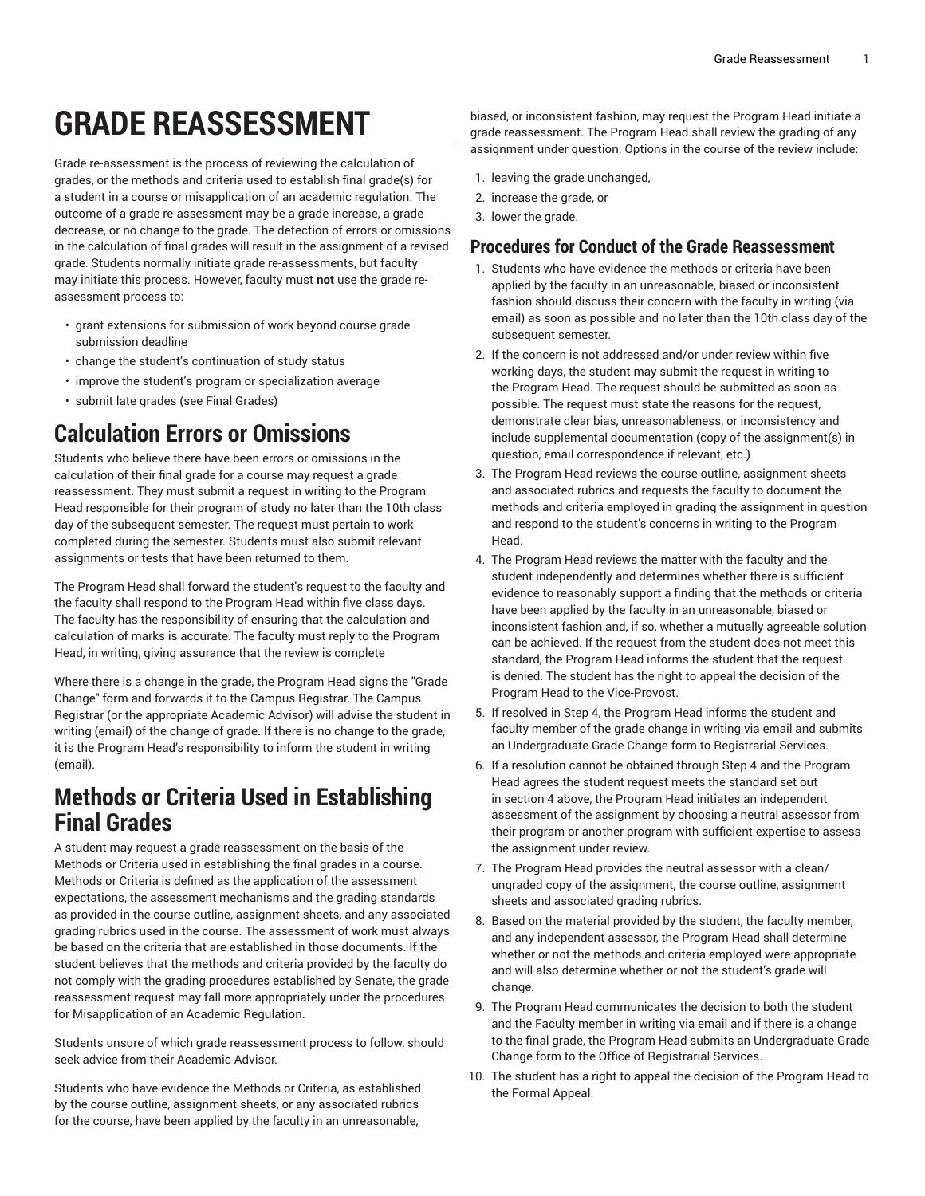# **GRADE REASSESSMENT**

Grade re-assessment is the process of reviewing the calculation of grades, or the methods and criteria used to establish final grade(s) for a student in a course or misapplication of an academic regulation. The outcome of a grade re-assessment may be a grade increase, a grade decrease, or no change to the grade. The detection of errors or omissions in the calculation of final grades will result in the assignment of a revised grade. Students normally initiate grade re-assessments, but faculty may initiate this process. However, faculty must **not** use the grade reassessment process to:

- grant extensions for submission of work beyond course grade submission deadline
- change the student's continuation of study status
- improve the student's program or specialization average
- submit late grades (see Final Grades)

### **Calculation Errors or Omissions**

Students who believe there have been errors or omissions in the calculation of their final grade for a course may request a grade reassessment. They must submit a request in writing to the Program Head responsible for their program of study no later than the 10th class day of the subsequent semester. The request must pertain to work completed during the semester. Students must also submit relevant assignments or tests that have been returned to them.

The Program Head shall forward the student's request to the faculty and the faculty shall respond to the Program Head within five class days. The faculty has the responsibility of ensuring that the calculation and calculation of marks is accurate. The faculty must reply to the Program Head, in writing, giving assurance that the review is complete

Where there is a change in the grade, the Program Head signs the "Grade Change" form and forwards it to the Campus Registrar. The Campus Registrar (or the appropriate Academic Advisor) will advise the student in writing (email) of the change of grade. If there is no change to the grade, it is the Program Head's responsibility to inform the student in writing (email).

### **Methods or Criteria Used in Establishing Final Grades**

A student may request a grade reassessment on the basis of the Methods or Criteria used in establishing the final grades in a course. Methods or Criteria is defined as the application of the assessment expectations, the assessment mechanisms and the grading standards as provided in the course outline, assignment sheets, and any associated grading rubrics used in the course. The assessment of work must always be based on the criteria that are established in those documents. If the student believes that the methods and criteria provided by the faculty do not comply with the grading procedures established by Senate, the grade reassessment request may fall more appropriately under the procedures for Misapplication of an Academic Regulation.

Students unsure of which grade reassessment process to follow, should seek advice from their Academic Advisor.

Students who have evidence the Methods or Criteria, as established by the course outline, assignment sheets, or any associated rubrics for the course, have been applied by the faculty in an unreasonable,

biased, or inconsistent fashion, may request the Program Head initiate a grade reassessment. The Program Head shall review the grading of any assignment under question. Options in the course of the review include:

- 1. leaving the grade unchanged,
- 2. increase the grade, or
- 3. lower the grade.

#### **Procedures for Conduct of the Grade Reassessment**

- 1. Students who have evidence the methods or criteria have been applied by the faculty in an unreasonable, biased or inconsistent fashion should discuss their concern with the faculty in writing (via email) as soon as possible and no later than the 10th class day of the subsequent semester.
- 2. If the concern is not addressed and/or under review within five working days, the student may submit the request in writing to the Program Head. The request should be submitted as soon as possible. The request must state the reasons for the request, demonstrate clear bias, unreasonableness, or inconsistency and include supplemental documentation (copy of the assignment(s) in question, email correspondence if relevant, etc.)
- 3. The Program Head reviews the course outline, assignment sheets and associated rubrics and requests the faculty to document the methods and criteria employed in grading the assignment in question and respond to the student's concerns in writing to the Program Head.
- 4. The Program Head reviews the matter with the faculty and the student independently and determines whether there is sufficient evidence to reasonably support a finding that the methods or criteria have been applied by the faculty in an unreasonable, biased or inconsistent fashion and, if so, whether a mutually agreeable solution can be achieved. If the request from the student does not meet this standard, the Program Head informs the student that the request is denied. The student has the right to appeal the decision of the Program Head to the Vice-Provost.
- 5. If resolved in Step 4, the Program Head informs the student and faculty member of the grade change in writing via email and submits an Undergraduate Grade Change form to Registrarial Services.
- 6. If a resolution cannot be obtained through Step 4 and the Program Head agrees the student request meets the standard set out in section 4 above, the Program Head initiates an independent assessment of the assignment by choosing a neutral assessor from their program or another program with sufficient expertise to assess the assignment under review.
- 7. The Program Head provides the neutral assessor with a clean/ ungraded copy of the assignment, the course outline, assignment sheets and associated grading rubrics.
- 8. Based on the material provided by the student, the faculty member, and any independent assessor, the Program Head shall determine whether or not the methods and criteria employed were appropriate and will also determine whether or not the student's grade will change.
- 9. The Program Head communicates the decision to both the student and the Faculty member in writing via email and if there is a change to the final grade, the Program Head submits an Undergraduate Grade Change form to the Office of Registrarial Services.
- 10. The student has a right to appeal the decision of the Program Head to the Formal Appeal.